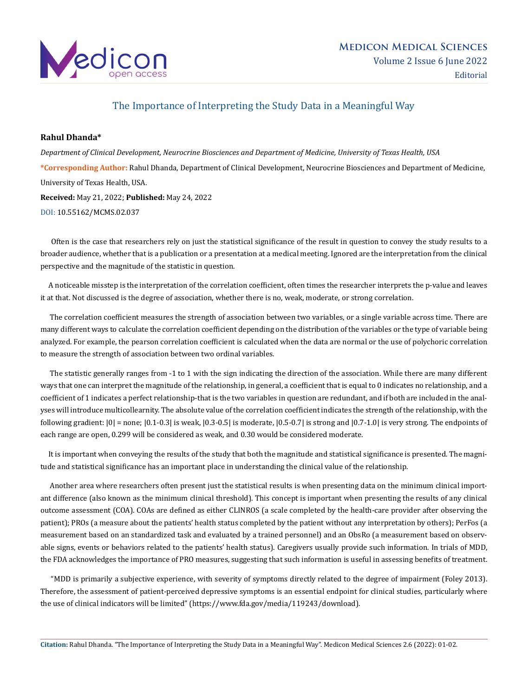

## The Importance of Interpreting the Study Data in a Meaningful Way

## **Rahul Dhanda\***

*Department of Clinical Development, Neurocrine Biosciences and Department of Medicine, University of Texas Health, USA* **\*Corresponding Author:** Rahul Dhanda, Department of Clinical Development, Neurocrine Biosciences and Department of Medicine, University of Texas Health, USA. **Received:** May 21, 2022; **Published:** May 24, 2022

[DOI: 10.55162/MCMS.02.037](https://doi.org/10.55162/MCMS.02.037)

 Often is the case that researchers rely on just the statistical significance of the result in question to convey the study results to a broader audience, whether that is a publication or a presentation at a medical meeting. Ignored are the interpretation from the clinical perspective and the magnitude of the statistic in question.

 A noticeable misstep is the interpretation of the correlation coefficient, often times the researcher interprets the p-value and leaves it at that. Not discussed is the degree of association, whether there is no, weak, moderate, or strong correlation.

 The correlation coefficient measures the strength of association between two variables, or a single variable across time. There are many different ways to calculate the correlation coefficient depending on the distribution of the variables or the type of variable being analyzed. For example, the pearson correlation coefficient is calculated when the data are normal or the use of polychoric correlation to measure the strength of association between two ordinal variables.

 The statistic generally ranges from -1 to 1 with the sign indicating the direction of the association. While there are many different ways that one can interpret the magnitude of the relationship, in general, a coefficient that is equal to 0 indicates no relationship, and a coefficient of 1 indicates a perfect relationship-that is the two variables in question are redundant, and if both are included in the analyses will introduce multicollearnity. The absolute value of the correlation coefficient indicates the strength of the relationship, with the following gradient: |0| = none; |0.1-0.3| is weak, |0.3-0.5| is moderate, |0.5-0.7| is strong and |0.7-1.0| is very strong. The endpoints of each range are open, 0.299 will be considered as weak, and 0.30 would be considered moderate.

 It is important when conveying the results of the study that both the magnitude and statistical significance is presented. The magnitude and statistical significance has an important place in understanding the clinical value of the relationship.

 Another area where researchers often present just the statistical results is when presenting data on the minimum clinical important difference (also known as the minimum clinical threshold). This concept is important when presenting the results of any clinical outcome assessment (COA). COAs are defined as either CLINROS (a scale completed by the health-care provider after observing the patient); PROs (a measure about the patients' health status completed by the patient without any interpretation by others); PerFos (a measurement based on an standardized task and evaluated by a trained personnel) and an ObsRo (a measurement based on observable signs, events or behaviors related to the patients' health status). Caregivers usually provide such information. In trials of MDD, the FDA acknowledges the importance of PRO measures, suggesting that such information is useful in assessing benefits of treatment.

 "MDD is primarily a subjective experience, with severity of symptoms directly related to the degree of impairment (Foley 2013). Therefore, the assessment of patient-perceived depressive symptoms is an essential endpoint for clinical studies, particularly where the use of clinical indicators will be limited" ([https://www.fda.gov/media/119243/download\)](https://www.fda.gov/media/119243/download).